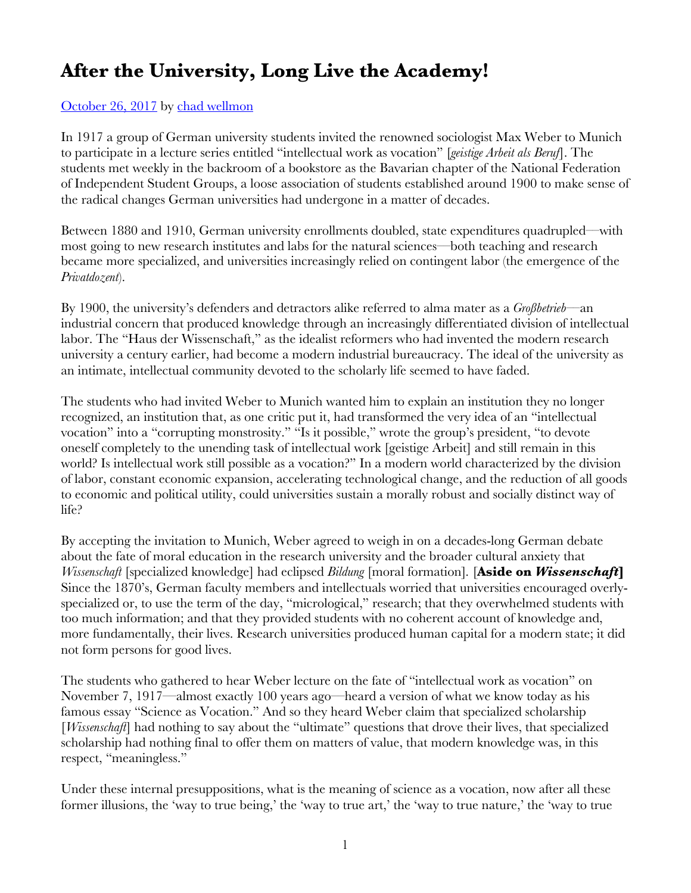## **After the University, Long Live the Academy!**

## October 26, 2017 by chad wellmon

In 1917 a group of German university students invited the renowned sociologist Max Weber to Munich to participate in a lecture series entitled "intellectual work as vocation" [*geistige Arbeit als Beruf*]. The students met weekly in the backroom of a bookstore as the Bavarian chapter of the National Federation of Independent Student Groups, a loose association of students established around 1900 to make sense of the radical changes German universities had undergone in a matter of decades.

Between 1880 and 1910, German university enrollments doubled, state expenditures quadrupled––with most going to new research institutes and labs for the natural sciences––both teaching and research became more specialized, and universities increasingly relied on contingent labor (the emergence of the *Privatdozent*).

By 1900, the university's defenders and detractors alike referred to alma mater as a *Großbetrieb*––an industrial concern that produced knowledge through an increasingly differentiated division of intellectual labor. The "Haus der Wissenschaft," as the idealist reformers who had invented the modern research university a century earlier, had become a modern industrial bureaucracy. The ideal of the university as an intimate, intellectual community devoted to the scholarly life seemed to have faded.

The students who had invited Weber to Munich wanted him to explain an institution they no longer recognized, an institution that, as one critic put it, had transformed the very idea of an "intellectual vocation" into a "corrupting monstrosity." "Is it possible," wrote the group's president, "to devote oneself completely to the unending task of intellectual work [geistige Arbeit] and still remain in this world? Is intellectual work still possible as a vocation?" In a modern world characterized by the division of labor, constant economic expansion, accelerating technological change, and the reduction of all goods to economic and political utility, could universities sustain a morally robust and socially distinct way of life?

By accepting the invitation to Munich, Weber agreed to weigh in on a decades-long German debate about the fate of moral education in the research university and the broader cultural anxiety that *Wissenschaft* [specialized knowledge] had eclipsed *Bildung* [moral formation]*.* [**Aside on** *Wissenschaft***]** Since the 1870's, German faculty members and intellectuals worried that universities encouraged overlyspecialized or, to use the term of the day, "micrological," research; that they overwhelmed students with too much information; and that they provided students with no coherent account of knowledge and, more fundamentally, their lives. Research universities produced human capital for a modern state; it did not form persons for good lives.

The students who gathered to hear Weber lecture on the fate of "intellectual work as vocation" on November 7, 1917––almost exactly 100 years ago––heard a version of what we know today as his famous essay "Science as Vocation." And so they heard Weber claim that specialized scholarship [*Wissenschaft*] had nothing to say about the "ultimate" questions that drove their lives, that specialized scholarship had nothing final to offer them on matters of value, that modern knowledge was, in this respect, "meaningless."

Under these internal presuppositions, what is the meaning of science as a vocation, now after all these former illusions, the 'way to true being,' the 'way to true art,' the 'way to true nature,' the 'way to true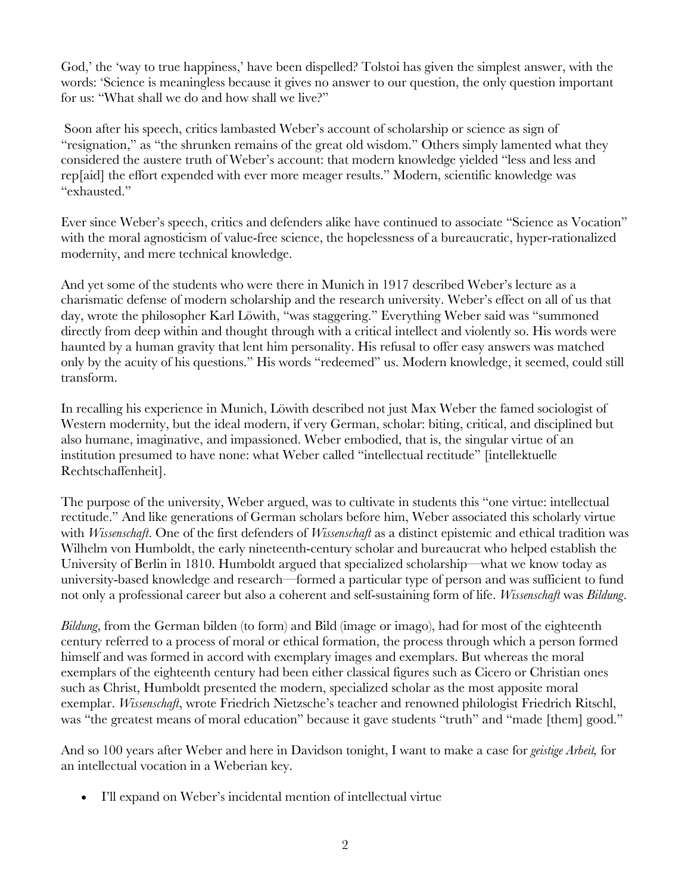God,' the 'way to true happiness,' have been dispelled? Tolstoi has given the simplest answer, with the words: 'Science is meaningless because it gives no answer to our question, the only question important for us: "What shall we do and how shall we live?"

Soon after his speech, critics lambasted Weber's account of scholarship or science as sign of "resignation," as "the shrunken remains of the great old wisdom." Others simply lamented what they considered the austere truth of Weber's account: that modern knowledge yielded "less and less and rep[aid] the effort expended with ever more meager results." Modern, scientific knowledge was "exhausted."

Ever since Weber's speech, critics and defenders alike have continued to associate "Science as Vocation" with the moral agnosticism of value-free science, the hopelessness of a bureaucratic, hyper-rationalized modernity, and mere technical knowledge.

And yet some of the students who were there in Munich in 1917 described Weber's lecture as a charismatic defense of modern scholarship and the research university. Weber's effect on all of us that day, wrote the philosopher Karl Löwith, "was staggering." Everything Weber said was "summoned directly from deep within and thought through with a critical intellect and violently so. His words were haunted by a human gravity that lent him personality. His refusal to offer easy answers was matched only by the acuity of his questions." His words "redeemed" us. Modern knowledge, it seemed, could still transform.

In recalling his experience in Munich, Löwith described not just Max Weber the famed sociologist of Western modernity, but the ideal modern, if very German, scholar: biting, critical, and disciplined but also humane, imaginative, and impassioned. Weber embodied, that is, the singular virtue of an institution presumed to have none: what Weber called "intellectual rectitude" [intellektuelle Rechtschaffenheit].

The purpose of the university, Weber argued, was to cultivate in students this "one virtue: intellectual rectitude." And like generations of German scholars before him, Weber associated this scholarly virtue with *Wissenschaft*. One of the first defenders of *Wissenschaft* as a distinct epistemic and ethical tradition was Wilhelm von Humboldt, the early nineteenth-century scholar and bureaucrat who helped establish the University of Berlin in 1810. Humboldt argued that specialized scholarship––what we know today as university-based knowledge and research––formed a particular type of person and was sufficient to fund not only a professional career but also a coherent and self-sustaining form of life. *Wissenschaft* was *Bildung*.

*Bildung*, from the German bilden (to form) and Bild (image or imago), had for most of the eighteenth century referred to a process of moral or ethical formation, the process through which a person formed himself and was formed in accord with exemplary images and exemplars. But whereas the moral exemplars of the eighteenth century had been either classical figures such as Cicero or Christian ones such as Christ, Humboldt presented the modern, specialized scholar as the most apposite moral exemplar. *Wissenschaft*, wrote Friedrich Nietzsche's teacher and renowned philologist Friedrich Ritschl, was "the greatest means of moral education" because it gave students "truth" and "made [them] good."

And so 100 years after Weber and here in Davidson tonight, I want to make a case for *geistige Arbeit,* for an intellectual vocation in a Weberian key.

• I'll expand on Weber's incidental mention of intellectual virtue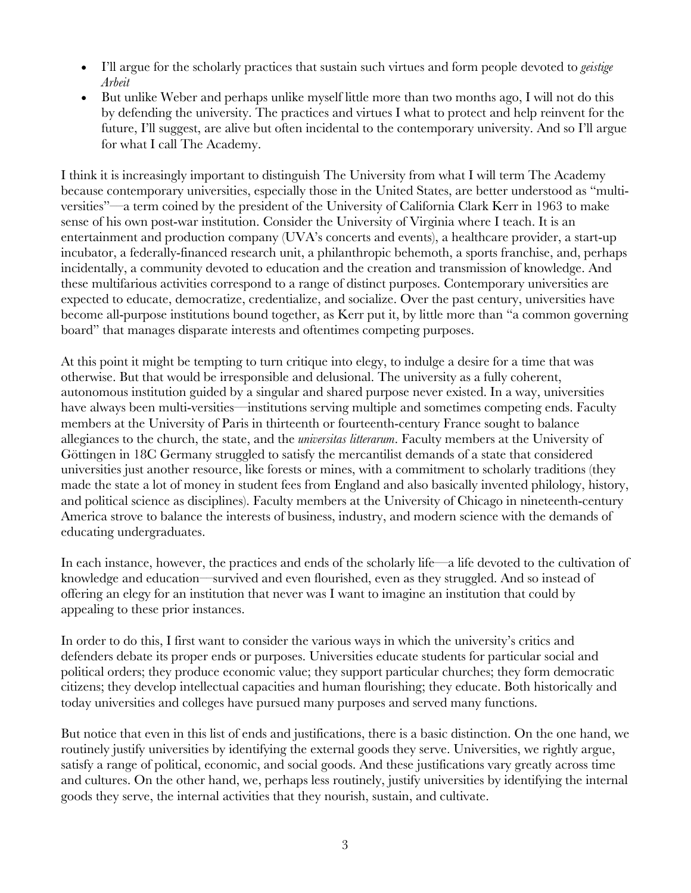- I'll argue for the scholarly practices that sustain such virtues and form people devoted to *geistige Arbeit*
- But unlike Weber and perhaps unlike myself little more than two months ago, I will not do this by defending the university. The practices and virtues I what to protect and help reinvent for the future, I'll suggest, are alive but often incidental to the contemporary university. And so I'll argue for what I call The Academy.

I think it is increasingly important to distinguish The University from what I will term The Academy because contemporary universities, especially those in the United States, are better understood as "multiversities"––a term coined by the president of the University of California Clark Kerr in 1963 to make sense of his own post-war institution. Consider the University of Virginia where I teach. It is an entertainment and production company (UVA's concerts and events), a healthcare provider, a start-up incubator, a federally-financed research unit, a philanthropic behemoth, a sports franchise, and, perhaps incidentally, a community devoted to education and the creation and transmission of knowledge. And these multifarious activities correspond to a range of distinct purposes. Contemporary universities are expected to educate, democratize, credentialize, and socialize. Over the past century, universities have become all-purpose institutions bound together, as Kerr put it, by little more than "a common governing board" that manages disparate interests and oftentimes competing purposes.

At this point it might be tempting to turn critique into elegy, to indulge a desire for a time that was otherwise. But that would be irresponsible and delusional. The university as a fully coherent, autonomous institution guided by a singular and shared purpose never existed. In a way, universities have always been multi-versities—institutions serving multiple and sometimes competing ends. Faculty members at the University of Paris in thirteenth or fourteenth-century France sought to balance allegiances to the church, the state, and the *universitas litterarum*. Faculty members at the University of Göttingen in 18C Germany struggled to satisfy the mercantilist demands of a state that considered universities just another resource, like forests or mines, with a commitment to scholarly traditions (they made the state a lot of money in student fees from England and also basically invented philology, history, and political science as disciplines). Faculty members at the University of Chicago in nineteenth-century America strove to balance the interests of business, industry, and modern science with the demands of educating undergraduates.

In each instance, however, the practices and ends of the scholarly life––a life devoted to the cultivation of knowledge and education––survived and even flourished, even as they struggled. And so instead of offering an elegy for an institution that never was I want to imagine an institution that could by appealing to these prior instances.

In order to do this, I first want to consider the various ways in which the university's critics and defenders debate its proper ends or purposes. Universities educate students for particular social and political orders; they produce economic value; they support particular churches; they form democratic citizens; they develop intellectual capacities and human flourishing; they educate. Both historically and today universities and colleges have pursued many purposes and served many functions.

But notice that even in this list of ends and justifications, there is a basic distinction. On the one hand, we routinely justify universities by identifying the external goods they serve. Universities, we rightly argue, satisfy a range of political, economic, and social goods. And these justifications vary greatly across time and cultures. On the other hand, we, perhaps less routinely, justify universities by identifying the internal goods they serve, the internal activities that they nourish, sustain, and cultivate.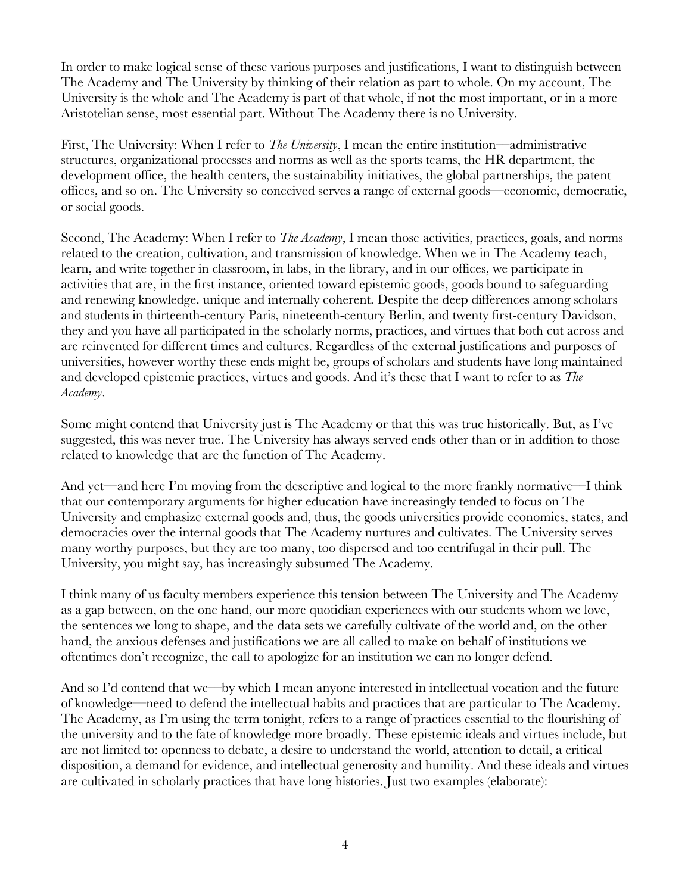In order to make logical sense of these various purposes and justifications, I want to distinguish between The Academy and The University by thinking of their relation as part to whole. On my account, The University is the whole and The Academy is part of that whole, if not the most important, or in a more Aristotelian sense, most essential part. Without The Academy there is no University.

First, The University: When I refer to *The University*, I mean the entire institution––administrative structures, organizational processes and norms as well as the sports teams, the HR department, the development office, the health centers, the sustainability initiatives, the global partnerships, the patent offices, and so on. The University so conceived serves a range of external goods––economic, democratic, or social goods.

Second, The Academy: When I refer to *The Academy*, I mean those activities, practices, goals, and norms related to the creation, cultivation, and transmission of knowledge. When we in The Academy teach, learn, and write together in classroom, in labs, in the library, and in our offices, we participate in activities that are, in the first instance, oriented toward epistemic goods, goods bound to safeguarding and renewing knowledge. unique and internally coherent. Despite the deep differences among scholars and students in thirteenth-century Paris, nineteenth-century Berlin, and twenty first-century Davidson, they and you have all participated in the scholarly norms, practices, and virtues that both cut across and are reinvented for different times and cultures. Regardless of the external justifications and purposes of universities, however worthy these ends might be, groups of scholars and students have long maintained and developed epistemic practices, virtues and goods. And it's these that I want to refer to as *The Academy*.

Some might contend that University just is The Academy or that this was true historically. But, as I've suggested, this was never true. The University has always served ends other than or in addition to those related to knowledge that are the function of The Academy.

And yet—and here I'm moving from the descriptive and logical to the more frankly normative—I think that our contemporary arguments for higher education have increasingly tended to focus on The University and emphasize external goods and, thus, the goods universities provide economies, states, and democracies over the internal goods that The Academy nurtures and cultivates. The University serves many worthy purposes, but they are too many, too dispersed and too centrifugal in their pull. The University, you might say, has increasingly subsumed The Academy.

I think many of us faculty members experience this tension between The University and The Academy as a gap between, on the one hand, our more quotidian experiences with our students whom we love, the sentences we long to shape, and the data sets we carefully cultivate of the world and, on the other hand, the anxious defenses and justifications we are all called to make on behalf of institutions we oftentimes don't recognize, the call to apologize for an institution we can no longer defend.

And so I'd contend that we—by which I mean anyone interested in intellectual vocation and the future of knowledge––need to defend the intellectual habits and practices that are particular to The Academy. The Academy, as I'm using the term tonight, refers to a range of practices essential to the flourishing of the university and to the fate of knowledge more broadly. These epistemic ideals and virtues include, but are not limited to: openness to debate, a desire to understand the world, attention to detail, a critical disposition, a demand for evidence, and intellectual generosity and humility. And these ideals and virtues are cultivated in scholarly practices that have long histories. Just two examples (elaborate):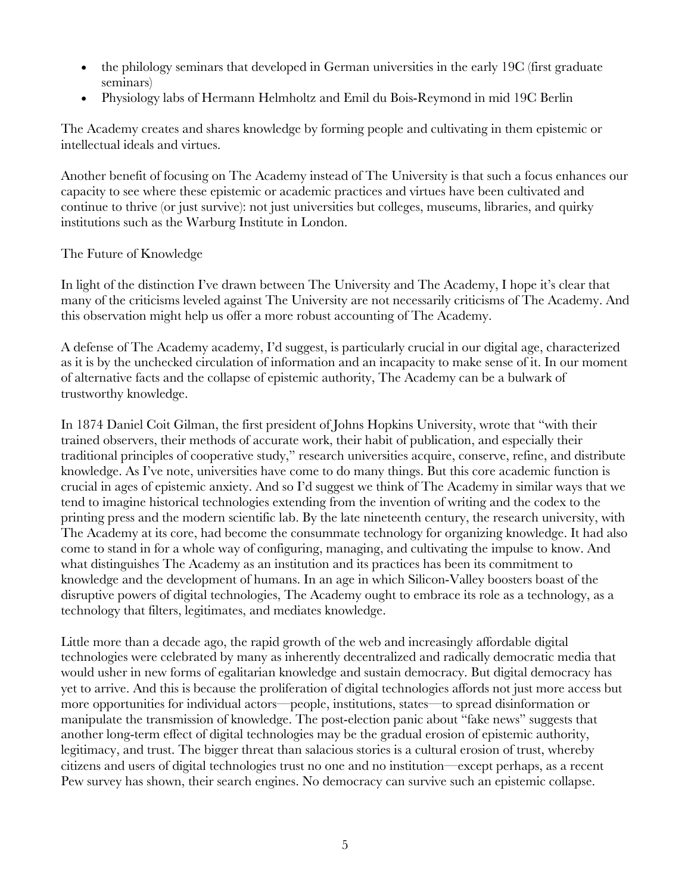- the philology seminars that developed in German universities in the early 19C (first graduate seminars)
- Physiology labs of Hermann Helmholtz and Emil du Bois-Reymond in mid 19C Berlin

The Academy creates and shares knowledge by forming people and cultivating in them epistemic or intellectual ideals and virtues.

Another benefit of focusing on The Academy instead of The University is that such a focus enhances our capacity to see where these epistemic or academic practices and virtues have been cultivated and continue to thrive (or just survive): not just universities but colleges, museums, libraries, and quirky institutions such as the Warburg Institute in London.

## The Future of Knowledge

In light of the distinction I've drawn between The University and The Academy, I hope it's clear that many of the criticisms leveled against The University are not necessarily criticisms of The Academy. And this observation might help us offer a more robust accounting of The Academy.

A defense of The Academy academy, I'd suggest, is particularly crucial in our digital age, characterized as it is by the unchecked circulation of information and an incapacity to make sense of it. In our moment of alternative facts and the collapse of epistemic authority, The Academy can be a bulwark of trustworthy knowledge.

In 1874 Daniel Coit Gilman, the first president of Johns Hopkins University, wrote that "with their trained observers, their methods of accurate work, their habit of publication, and especially their traditional principles of cooperative study," research universities acquire, conserve, refine, and distribute knowledge. As I've note, universities have come to do many things. But this core academic function is crucial in ages of epistemic anxiety. And so I'd suggest we think of The Academy in similar ways that we tend to imagine historical technologies extending from the invention of writing and the codex to the printing press and the modern scientific lab. By the late nineteenth century, the research university, with The Academy at its core, had become the consummate technology for organizing knowledge. It had also come to stand in for a whole way of configuring, managing, and cultivating the impulse to know. And what distinguishes The Academy as an institution and its practices has been its commitment to knowledge and the development of humans. In an age in which Silicon-Valley boosters boast of the disruptive powers of digital technologies, The Academy ought to embrace its role as a technology, as a technology that filters, legitimates, and mediates knowledge.

Little more than a decade ago, the rapid growth of the web and increasingly affordable digital technologies were celebrated by many as inherently decentralized and radically democratic media that would usher in new forms of egalitarian knowledge and sustain democracy. But digital democracy has yet to arrive. And this is because the proliferation of digital technologies affords not just more access but more opportunities for individual actors––people, institutions, states––to spread disinformation or manipulate the transmission of knowledge. The post-election panic about "fake news" suggests that another long-term effect of digital technologies may be the gradual erosion of epistemic authority, legitimacy, and trust. The bigger threat than salacious stories is a cultural erosion of trust, whereby citizens and users of digital technologies trust no one and no institution––except perhaps, as a recent Pew survey has shown, their search engines. No democracy can survive such an epistemic collapse.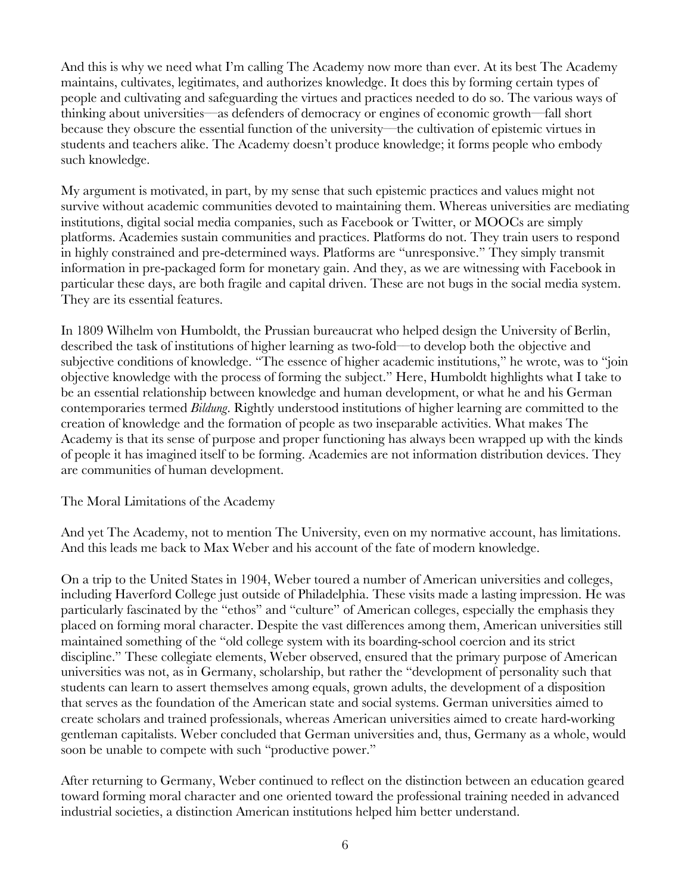And this is why we need what I'm calling The Academy now more than ever. At its best The Academy maintains, cultivates, legitimates, and authorizes knowledge. It does this by forming certain types of people and cultivating and safeguarding the virtues and practices needed to do so. The various ways of thinking about universities––as defenders of democracy or engines of economic growth––fall short because they obscure the essential function of the university––the cultivation of epistemic virtues in students and teachers alike. The Academy doesn't produce knowledge; it forms people who embody such knowledge.

My argument is motivated, in part, by my sense that such epistemic practices and values might not survive without academic communities devoted to maintaining them. Whereas universities are mediating institutions, digital social media companies, such as Facebook or Twitter, or MOOCs are simply platforms. Academies sustain communities and practices. Platforms do not. They train users to respond in highly constrained and pre-determined ways. Platforms are "unresponsive." They simply transmit information in pre-packaged form for monetary gain. And they, as we are witnessing with Facebook in particular these days, are both fragile and capital driven. These are not bugs in the social media system. They are its essential features.

In 1809 Wilhelm von Humboldt, the Prussian bureaucrat who helped design the University of Berlin, described the task of institutions of higher learning as two-fold––to develop both the objective and subjective conditions of knowledge. "The essence of higher academic institutions," he wrote, was to "join objective knowledge with the process of forming the subject." Here, Humboldt highlights what I take to be an essential relationship between knowledge and human development, or what he and his German contemporaries termed *Bildung*. Rightly understood institutions of higher learning are committed to the creation of knowledge and the formation of people as two inseparable activities. What makes The Academy is that its sense of purpose and proper functioning has always been wrapped up with the kinds of people it has imagined itself to be forming. Academies are not information distribution devices. They are communities of human development.

The Moral Limitations of the Academy

And yet The Academy, not to mention The University, even on my normative account, has limitations. And this leads me back to Max Weber and his account of the fate of modern knowledge.

On a trip to the United States in 1904, Weber toured a number of American universities and colleges, including Haverford College just outside of Philadelphia. These visits made a lasting impression. He was particularly fascinated by the "ethos" and "culture" of American colleges, especially the emphasis they placed on forming moral character. Despite the vast differences among them, American universities still maintained something of the "old college system with its boarding-school coercion and its strict discipline." These collegiate elements, Weber observed, ensured that the primary purpose of American universities was not, as in Germany, scholarship, but rather the "development of personality such that students can learn to assert themselves among equals, grown adults, the development of a disposition that serves as the foundation of the American state and social systems. German universities aimed to create scholars and trained professionals, whereas American universities aimed to create hard-working gentleman capitalists. Weber concluded that German universities and, thus, Germany as a whole, would soon be unable to compete with such "productive power."

After returning to Germany, Weber continued to reflect on the distinction between an education geared toward forming moral character and one oriented toward the professional training needed in advanced industrial societies, a distinction American institutions helped him better understand.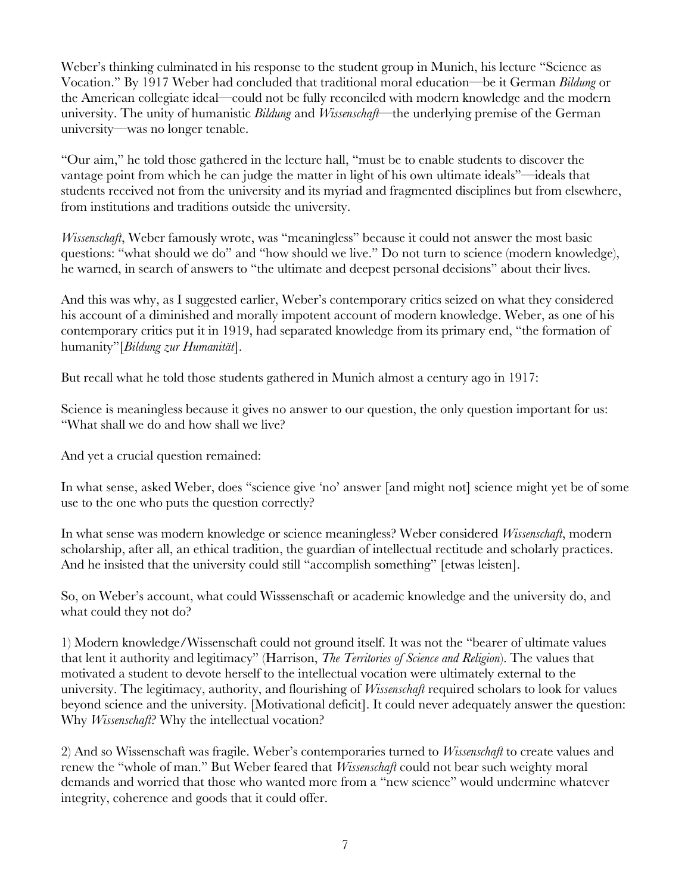Weber's thinking culminated in his response to the student group in Munich, his lecture "Science as Vocation." By 1917 Weber had concluded that traditional moral education––be it German *Bildung* or the American collegiate ideal––could not be fully reconciled with modern knowledge and the modern university. The unity of humanistic *Bildung* and *Wissenschaft––*the underlying premise of the German university––was no longer tenable.

"Our aim," he told those gathered in the lecture hall, "must be to enable students to discover the vantage point from which he can judge the matter in light of his own ultimate ideals"––ideals that students received not from the university and its myriad and fragmented disciplines but from elsewhere, from institutions and traditions outside the university.

*Wissenschaft*, Weber famously wrote, was "meaningless" because it could not answer the most basic questions: "what should we do" and "how should we live." Do not turn to science (modern knowledge), he warned, in search of answers to "the ultimate and deepest personal decisions" about their lives.

And this was why, as I suggested earlier, Weber's contemporary critics seized on what they considered his account of a diminished and morally impotent account of modern knowledge. Weber, as one of his contemporary critics put it in 1919, had separated knowledge from its primary end, "the formation of humanity"[*Bildung zur Humanität*].

But recall what he told those students gathered in Munich almost a century ago in 1917:

Science is meaningless because it gives no answer to our question, the only question important for us: "What shall we do and how shall we live?

And yet a crucial question remained:

In what sense, asked Weber, does "science give 'no' answer [and might not] science might yet be of some use to the one who puts the question correctly?

In what sense was modern knowledge or science meaningless? Weber considered *Wissenschaft*, modern scholarship, after all, an ethical tradition, the guardian of intellectual rectitude and scholarly practices. And he insisted that the university could still "accomplish something" [etwas leisten].

So, on Weber's account, what could Wisssenschaft or academic knowledge and the university do, and what could they not do?

1) Modern knowledge/Wissenschaft could not ground itself. It was not the "bearer of ultimate values that lent it authority and legitimacy" (Harrison, *The Territories of Science and Religion*). The values that motivated a student to devote herself to the intellectual vocation were ultimately external to the university. The legitimacy, authority, and flourishing of *Wissenschaft* required scholars to look for values beyond science and the university. [Motivational deficit]. It could never adequately answer the question: Why *Wissenschaft*? Why the intellectual vocation?

2) And so Wissenschaft was fragile. Weber's contemporaries turned to *Wissenschaft* to create values and renew the "whole of man." But Weber feared that *Wissenschaft* could not bear such weighty moral demands and worried that those who wanted more from a "new science" would undermine whatever integrity, coherence and goods that it could offer.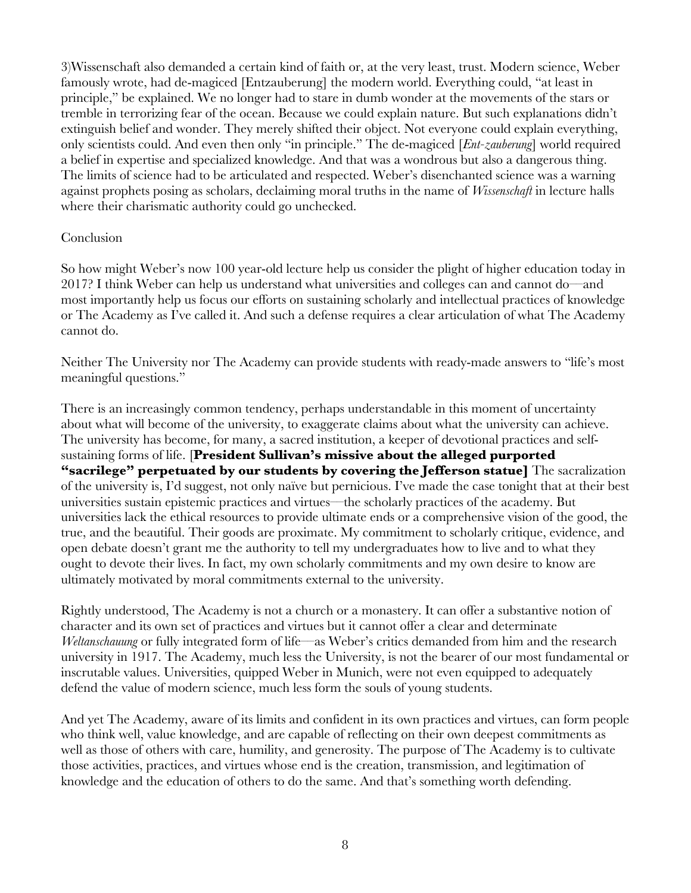3)Wissenschaft also demanded a certain kind of faith or, at the very least, trust. Modern science, Weber famously wrote, had de-magiced [Entzauberung] the modern world. Everything could, "at least in principle," be explained. We no longer had to stare in dumb wonder at the movements of the stars or tremble in terrorizing fear of the ocean. Because we could explain nature. But such explanations didn't extinguish belief and wonder. They merely shifted their object. Not everyone could explain everything, only scientists could. And even then only "in principle." The de-magiced [*Ent-zauberung*] world required a belief in expertise and specialized knowledge. And that was a wondrous but also a dangerous thing. The limits of science had to be articulated and respected. Weber's disenchanted science was a warning against prophets posing as scholars, declaiming moral truths in the name of *Wissenschaft* in lecture halls where their charismatic authority could go unchecked.

## Conclusion

So how might Weber's now 100 year-old lecture help us consider the plight of higher education today in 2017? I think Weber can help us understand what universities and colleges can and cannot do––and most importantly help us focus our efforts on sustaining scholarly and intellectual practices of knowledge or The Academy as I've called it. And such a defense requires a clear articulation of what The Academy cannot do.

Neither The University nor The Academy can provide students with ready-made answers to "life's most meaningful questions."

There is an increasingly common tendency, perhaps understandable in this moment of uncertainty about what will become of the university, to exaggerate claims about what the university can achieve. The university has become, for many, a sacred institution, a keeper of devotional practices and selfsustaining forms of life. [**President Sullivan's missive about the alleged purported "sacrilege" perpetuated by our students by covering the Jefferson statue]** The sacralization of the university is, I'd suggest, not only naïve but pernicious. I've made the case tonight that at their best universities sustain epistemic practices and virtues––the scholarly practices of the academy. But universities lack the ethical resources to provide ultimate ends or a comprehensive vision of the good, the true, and the beautiful. Their goods are proximate. My commitment to scholarly critique, evidence, and open debate doesn't grant me the authority to tell my undergraduates how to live and to what they ought to devote their lives. In fact, my own scholarly commitments and my own desire to know are ultimately motivated by moral commitments external to the university.

Rightly understood, The Academy is not a church or a monastery. It can offer a substantive notion of character and its own set of practices and virtues but it cannot offer a clear and determinate *Weltanschauung* or fully integrated form of life––as Weber's critics demanded from him and the research university in 1917. The Academy, much less the University, is not the bearer of our most fundamental or inscrutable values. Universities, quipped Weber in Munich, were not even equipped to adequately defend the value of modern science, much less form the souls of young students.

And yet The Academy, aware of its limits and confident in its own practices and virtues, can form people who think well, value knowledge, and are capable of reflecting on their own deepest commitments as well as those of others with care, humility, and generosity. The purpose of The Academy is to cultivate those activities, practices, and virtues whose end is the creation, transmission, and legitimation of knowledge and the education of others to do the same. And that's something worth defending.